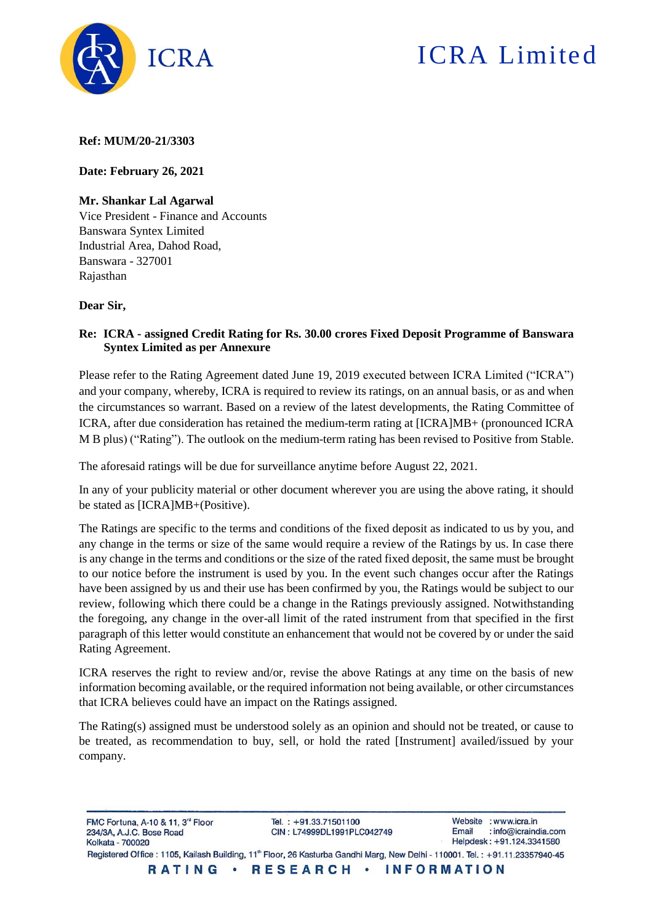

# ICRA Limited

**Ref: MUM/20-21/3303**

**Date: February 26, 2021**

## **Mr. Shankar Lal Agarwal**

Vice President - Finance and Accounts Banswara Syntex Limited Industrial Area, Dahod Road, Banswara - 327001 Rajasthan

#### **Dear Sir,**

## **Re: ICRA - assigned Credit Rating for Rs. 30.00 crores Fixed Deposit Programme of Banswara Syntex Limited as per Annexure**

Please refer to the Rating Agreement dated June 19, 2019 executed between ICRA Limited ("ICRA") and your company, whereby, ICRA is required to review its ratings, on an annual basis, or as and when the circumstances so warrant. Based on a review of the latest developments, the Rating Committee of ICRA, after due consideration has retained the medium-term rating at [ICRA]MB+ (pronounced ICRA M B plus) ("Rating"). The outlook on the medium-term rating has been revised to Positive from Stable.

The aforesaid ratings will be due for surveillance anytime before August 22, 2021.

In any of your publicity material or other document wherever you are using the above rating, it should be stated as [ICRA]MB+(Positive).

The Ratings are specific to the terms and conditions of the fixed deposit as indicated to us by you, and any change in the terms or size of the same would require a review of the Ratings by us. In case there is any change in the terms and conditions or the size of the rated fixed deposit, the same must be brought to our notice before the instrument is used by you. In the event such changes occur after the Ratings have been assigned by us and their use has been confirmed by you, the Ratings would be subject to our review, following which there could be a change in the Ratings previously assigned. Notwithstanding the foregoing, any change in the over-all limit of the rated instrument from that specified in the first paragraph of this letter would constitute an enhancement that would not be covered by or under the said Rating Agreement.

ICRA reserves the right to review and/or, revise the above Ratings at any time on the basis of new information becoming available, or the required information not being available, or other circumstances that ICRA believes could have an impact on the Ratings assigned.

The Rating(s) assigned must be understood solely as an opinion and should not be treated, or cause to be treated, as recommendation to buy, sell, or hold the rated [Instrument] availed/issued by your company.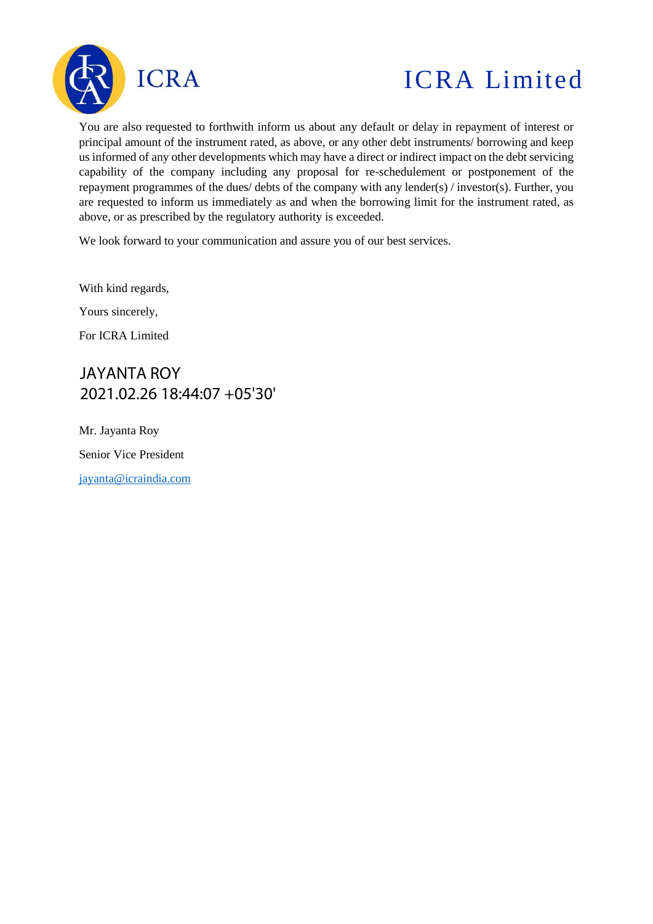

# ICRA Limited

You are also requested to forthwith inform us about any default or delay in repayment of interest or principal amount of the instrument rated, as above, or any other debt instruments/ borrowing and keep us informed of any other developments which may have a direct or indirect impact on the debt servicing capability of the company including any proposal for re-schedulement or postponement of the repayment programmes of the dues/ debts of the company with any lender(s) / investor(s). Further, you are requested to inform us immediately as and when the borrowing limit for the instrument rated, as above, or as prescribed by the regulatory authority is exceeded.

We look forward to your communication and assure you of our best services.

With kind regards,

Yours sincerely,

For ICRA Limited

JAYANTA ROY 2021.02.26 18:44:07 +05'30'

Mr. Jayanta Roy Senior Vice President [jayanta@icraindia.com](mailto:jayanta@icraindia.com)